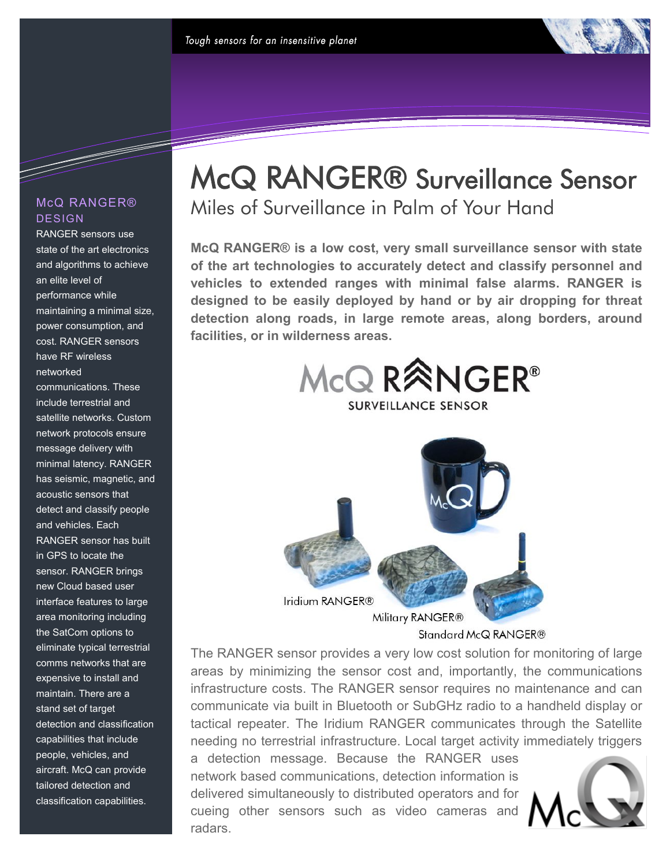

### McQ RANGER® DESIGN

RANGER sensors use state of the art electronics and algorithms to achieve an elite level of performance while maintaining a minimal size, power consumption, and cost. RANGER sensors have RF wireless networked communications. These include terrestrial and satellite networks. Custom network protocols ensure message delivery with minimal latency. RANGER has seismic, magnetic, and acoustic sensors that detect and classify people and vehicles. Each RANGER sensor has built in GPS to locate the sensor. RANGER brings new Cloud based user interface features to large area monitoring including the SatCom options to eliminate typical terrestrial comms networks that are expensive to install and maintain. There are a stand set of target detection and classification capabilities that include people, vehicles, and aircraft. McQ can provide tailored detection and classification capabilities.

## McQ RANGER® Surveillance Sensor Miles of Surveillance in Palm of Your Hand

**McQ RANGER® is a low cost, very small surveillance sensor with state of the art technologies to accurately detect and classify personnel and vehicles to extended ranges with minimal false alarms. RANGER is designed to be easily deployed by hand or by air dropping for threat detection along roads, in large remote areas, along borders, around facilities, or in wilderness areas.**



Standard McQ RANGER®

The RANGER sensor provides a very low cost solution for monitoring of large areas by minimizing the sensor cost and, importantly, the communications infrastructure costs. The RANGER sensor requires no maintenance and can communicate via built in Bluetooth or SubGHz radio to a handheld display or tactical repeater. The Iridium RANGER communicates through the Satellite needing no terrestrial infrastructure. Local target activity immediately triggers

a detection message. Because the RANGER uses network based communications, detection information is delivered simultaneously to distributed operators and for cueing other sensors such as video cameras and radars.